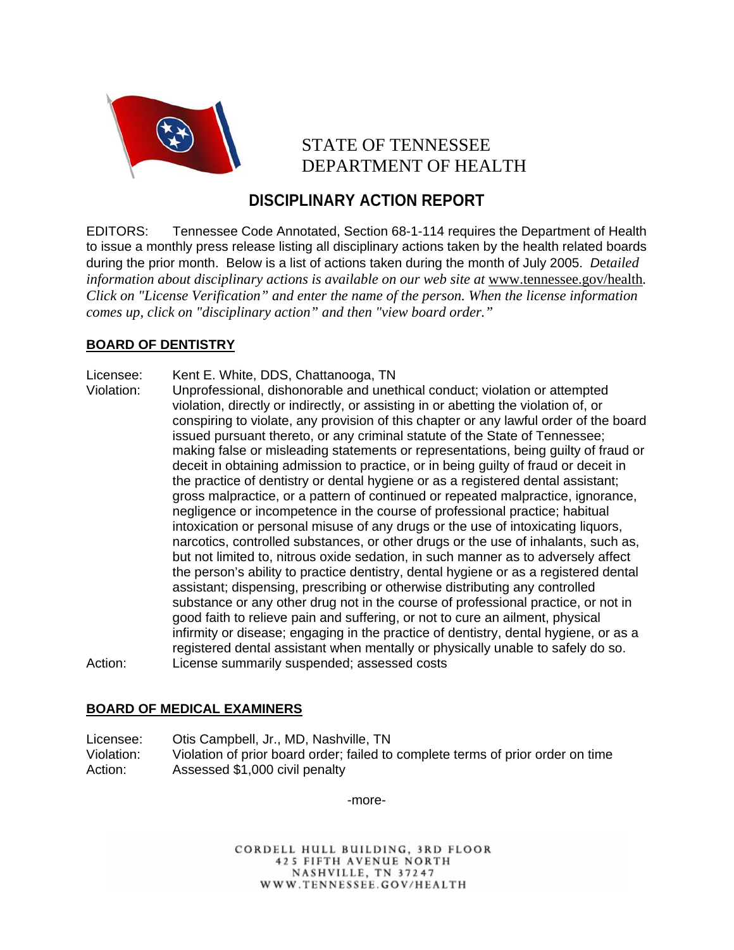

# STATE OF TENNESSEE DEPARTMENT OF HEALTH

# **DISCIPLINARY ACTION REPORT**

EDITORS: Tennessee Code Annotated, Section 68-1-114 requires the Department of Health to issue a monthly press release listing all disciplinary actions taken by the health related boards during the prior month. Below is a list of actions taken during the month of July 2005. *D*e*tailed information about disciplinary actions is available on our web site at www.tennessee.gov/health. Click on "License Verification" and enter the name of the person. When the license information comes up, click on "disciplinary action" and then "view board order."* 

## **BOARD OF DENTISTRY**

- Licensee: Kent E. White, DDS, Chattanooga, TN
- Violation: Unprofessional, dishonorable and unethical conduct; violation or attempted violation, directly or indirectly, or assisting in or abetting the violation of, or conspiring to violate, any provision of this chapter or any lawful order of the board issued pursuant thereto, or any criminal statute of the State of Tennessee; making false or misleading statements or representations, being guilty of fraud or deceit in obtaining admission to practice, or in being guilty of fraud or deceit in the practice of dentistry or dental hygiene or as a registered dental assistant; gross malpractice, or a pattern of continued or repeated malpractice, ignorance, negligence or incompetence in the course of professional practice; habitual intoxication or personal misuse of any drugs or the use of intoxicating liquors, narcotics, controlled substances, or other drugs or the use of inhalants, such as, but not limited to, nitrous oxide sedation, in such manner as to adversely affect the person's ability to practice dentistry, dental hygiene or as a registered dental assistant; dispensing, prescribing or otherwise distributing any controlled substance or any other drug not in the course of professional practice, or not in good faith to relieve pain and suffering, or not to cure an ailment, physical infirmity or disease; engaging in the practice of dentistry, dental hygiene, or as a registered dental assistant when mentally or physically unable to safely do so. Action: License summarily suspended; assessed costs

### **BOARD OF MEDICAL EXAMINERS**

Licensee: Otis Campbell, Jr., MD, Nashville, TN Violation: Violation of prior board order; failed to complete terms of prior order on time Action: Assessed \$1,000 civil penalty

-more-

CORDELL HULL BUILDING, 3RD FLOOR 425 FIFTH AVENUE NORTH NASHVILLE, TN 37247 WWW.TENNESSEE.GOV/HEALTH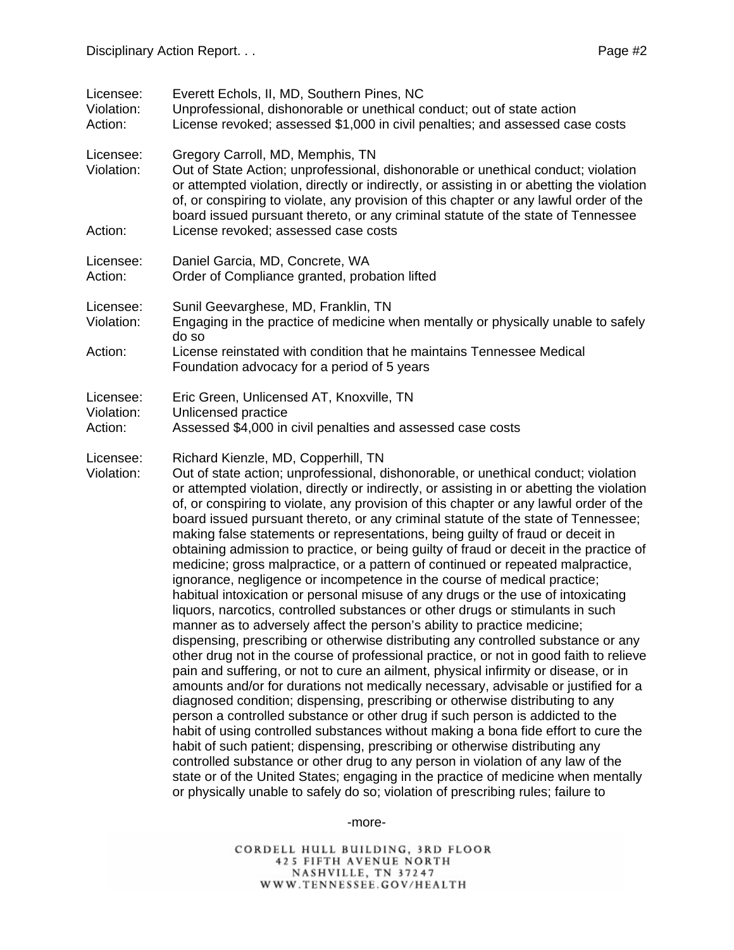| Licensee:<br>Violation:<br>Action: | Everett Echols, II, MD, Southern Pines, NC<br>Unprofessional, dishonorable or unethical conduct; out of state action<br>License revoked; assessed \$1,000 in civil penalties; and assessed case costs                                                                                                                                                                                                                                                                                                                                                                                                                                                                                                                                                                                                                                                                                                                                                                                                                                                                                                                                                                                                                                                                                                                                                                                                                                                                                                                                                                                                                                                                                                                                                                                                                                                                                                                                                              |
|------------------------------------|--------------------------------------------------------------------------------------------------------------------------------------------------------------------------------------------------------------------------------------------------------------------------------------------------------------------------------------------------------------------------------------------------------------------------------------------------------------------------------------------------------------------------------------------------------------------------------------------------------------------------------------------------------------------------------------------------------------------------------------------------------------------------------------------------------------------------------------------------------------------------------------------------------------------------------------------------------------------------------------------------------------------------------------------------------------------------------------------------------------------------------------------------------------------------------------------------------------------------------------------------------------------------------------------------------------------------------------------------------------------------------------------------------------------------------------------------------------------------------------------------------------------------------------------------------------------------------------------------------------------------------------------------------------------------------------------------------------------------------------------------------------------------------------------------------------------------------------------------------------------------------------------------------------------------------------------------------------------|
| Licensee:<br>Violation:<br>Action: | Gregory Carroll, MD, Memphis, TN<br>Out of State Action; unprofessional, dishonorable or unethical conduct; violation<br>or attempted violation, directly or indirectly, or assisting in or abetting the violation<br>of, or conspiring to violate, any provision of this chapter or any lawful order of the<br>board issued pursuant thereto, or any criminal statute of the state of Tennessee<br>License revoked; assessed case costs                                                                                                                                                                                                                                                                                                                                                                                                                                                                                                                                                                                                                                                                                                                                                                                                                                                                                                                                                                                                                                                                                                                                                                                                                                                                                                                                                                                                                                                                                                                           |
| Licensee:<br>Action:               | Daniel Garcia, MD, Concrete, WA<br>Order of Compliance granted, probation lifted                                                                                                                                                                                                                                                                                                                                                                                                                                                                                                                                                                                                                                                                                                                                                                                                                                                                                                                                                                                                                                                                                                                                                                                                                                                                                                                                                                                                                                                                                                                                                                                                                                                                                                                                                                                                                                                                                   |
| Licensee:<br>Violation:            | Sunil Geevarghese, MD, Franklin, TN<br>Engaging in the practice of medicine when mentally or physically unable to safely<br>do so                                                                                                                                                                                                                                                                                                                                                                                                                                                                                                                                                                                                                                                                                                                                                                                                                                                                                                                                                                                                                                                                                                                                                                                                                                                                                                                                                                                                                                                                                                                                                                                                                                                                                                                                                                                                                                  |
| Action:                            | License reinstated with condition that he maintains Tennessee Medical<br>Foundation advocacy for a period of 5 years                                                                                                                                                                                                                                                                                                                                                                                                                                                                                                                                                                                                                                                                                                                                                                                                                                                                                                                                                                                                                                                                                                                                                                                                                                                                                                                                                                                                                                                                                                                                                                                                                                                                                                                                                                                                                                               |
| Licensee:<br>Violation:<br>Action: | Eric Green, Unlicensed AT, Knoxville, TN<br>Unlicensed practice<br>Assessed \$4,000 in civil penalties and assessed case costs                                                                                                                                                                                                                                                                                                                                                                                                                                                                                                                                                                                                                                                                                                                                                                                                                                                                                                                                                                                                                                                                                                                                                                                                                                                                                                                                                                                                                                                                                                                                                                                                                                                                                                                                                                                                                                     |
| Licensee:<br>Violation:            | Richard Kienzle, MD, Copperhill, TN<br>Out of state action; unprofessional, dishonorable, or unethical conduct; violation<br>or attempted violation, directly or indirectly, or assisting in or abetting the violation<br>of, or conspiring to violate, any provision of this chapter or any lawful order of the<br>board issued pursuant thereto, or any criminal statute of the state of Tennessee;<br>making false statements or representations, being guilty of fraud or deceit in<br>obtaining admission to practice, or being guilty of fraud or deceit in the practice of<br>medicine; gross malpractice, or a pattern of continued or repeated malpractice,<br>ignorance, negligence or incompetence in the course of medical practice;<br>habitual intoxication or personal misuse of any drugs or the use of intoxicating<br>liquors, narcotics, controlled substances or other drugs or stimulants in such<br>manner as to adversely affect the person's ability to practice medicine;<br>dispensing, prescribing or otherwise distributing any controlled substance or any<br>other drug not in the course of professional practice, or not in good faith to relieve<br>pain and suffering, or not to cure an ailment, physical infirmity or disease, or in<br>amounts and/or for durations not medically necessary, advisable or justified for a<br>diagnosed condition; dispensing, prescribing or otherwise distributing to any<br>person a controlled substance or other drug if such person is addicted to the<br>habit of using controlled substances without making a bona fide effort to cure the<br>habit of such patient; dispensing, prescribing or otherwise distributing any<br>controlled substance or other drug to any person in violation of any law of the<br>state or of the United States; engaging in the practice of medicine when mentally<br>or physically unable to safely do so; violation of prescribing rules; failure to |

-more-

CORDELL HULL BUILDING, 3RD FLOOR<br>425 FIFTH AVENUE NORTH<br>NASHVILLE, TN 37247<br>WWW.TENNESSEE.GOV/HEALTH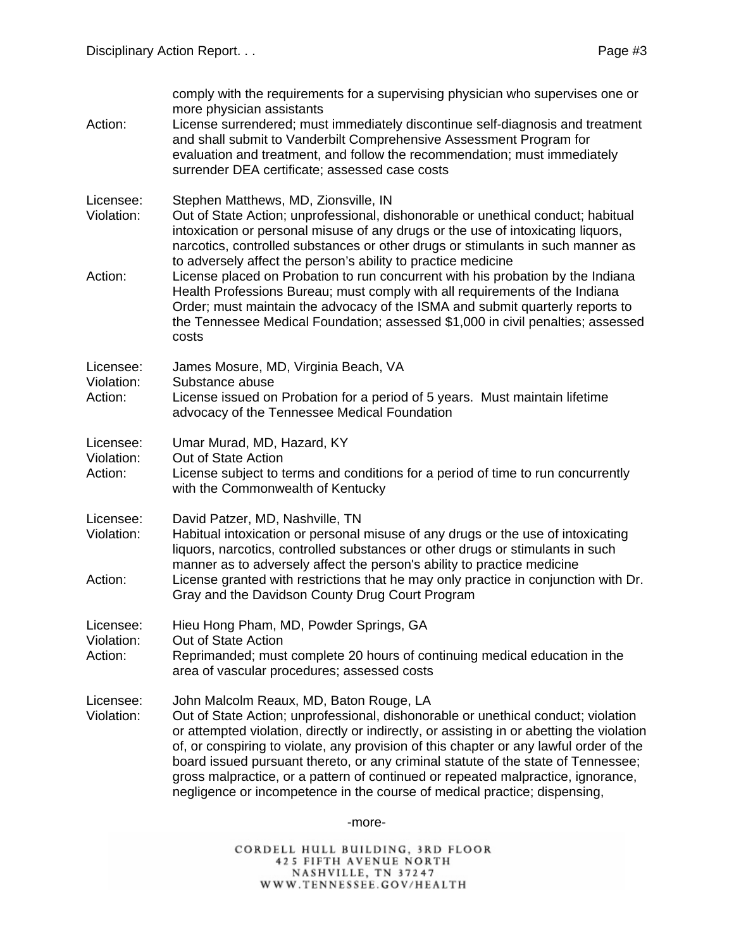| Action:                            | comply with the requirements for a supervising physician who supervises one or<br>more physician assistants<br>License surrendered; must immediately discontinue self-diagnosis and treatment<br>and shall submit to Vanderbilt Comprehensive Assessment Program for<br>evaluation and treatment, and follow the recommendation; must immediately<br>surrender DEA certificate; assessed case costs                                                                                                                                                                       |
|------------------------------------|---------------------------------------------------------------------------------------------------------------------------------------------------------------------------------------------------------------------------------------------------------------------------------------------------------------------------------------------------------------------------------------------------------------------------------------------------------------------------------------------------------------------------------------------------------------------------|
| Licensee:<br>Violation:            | Stephen Matthews, MD, Zionsville, IN<br>Out of State Action; unprofessional, dishonorable or unethical conduct; habitual<br>intoxication or personal misuse of any drugs or the use of intoxicating liquors,<br>narcotics, controlled substances or other drugs or stimulants in such manner as                                                                                                                                                                                                                                                                           |
| Action:                            | to adversely affect the person's ability to practice medicine<br>License placed on Probation to run concurrent with his probation by the Indiana<br>Health Professions Bureau; must comply with all requirements of the Indiana<br>Order; must maintain the advocacy of the ISMA and submit quarterly reports to<br>the Tennessee Medical Foundation; assessed \$1,000 in civil penalties; assessed<br>costs                                                                                                                                                              |
| Licensee:<br>Violation:<br>Action: | James Mosure, MD, Virginia Beach, VA<br>Substance abuse<br>License issued on Probation for a period of 5 years. Must maintain lifetime<br>advocacy of the Tennessee Medical Foundation                                                                                                                                                                                                                                                                                                                                                                                    |
| Licensee:<br>Violation:<br>Action: | Umar Murad, MD, Hazard, KY<br>Out of State Action<br>License subject to terms and conditions for a period of time to run concurrently<br>with the Commonwealth of Kentucky                                                                                                                                                                                                                                                                                                                                                                                                |
| Licensee:<br>Violation:<br>Action: | David Patzer, MD, Nashville, TN<br>Habitual intoxication or personal misuse of any drugs or the use of intoxicating<br>liquors, narcotics, controlled substances or other drugs or stimulants in such<br>manner as to adversely affect the person's ability to practice medicine<br>License granted with restrictions that he may only practice in conjunction with Dr.<br>Gray and the Davidson County Drug Court Program                                                                                                                                                |
| Licensee:<br>Violation:<br>Action: | Hieu Hong Pham, MD, Powder Springs, GA<br>Out of State Action<br>Reprimanded; must complete 20 hours of continuing medical education in the<br>area of vascular procedures; assessed costs                                                                                                                                                                                                                                                                                                                                                                                |
| Licensee:<br>Violation:            | John Malcolm Reaux, MD, Baton Rouge, LA<br>Out of State Action; unprofessional, dishonorable or unethical conduct; violation<br>or attempted violation, directly or indirectly, or assisting in or abetting the violation<br>of, or conspiring to violate, any provision of this chapter or any lawful order of the<br>board issued pursuant thereto, or any criminal statute of the state of Tennessee;<br>gross malpractice, or a pattern of continued or repeated malpractice, ignorance,<br>negligence or incompetence in the course of medical practice; dispensing, |
|                                    |                                                                                                                                                                                                                                                                                                                                                                                                                                                                                                                                                                           |

-more-

CORDELL HULL BUILDING, 3RD FLOOR<br>425 FIFTH AVENUE NORTH<br>NASHVILLE, TN 37247<br>WWW.TENNESSEE.GOV/HEALTH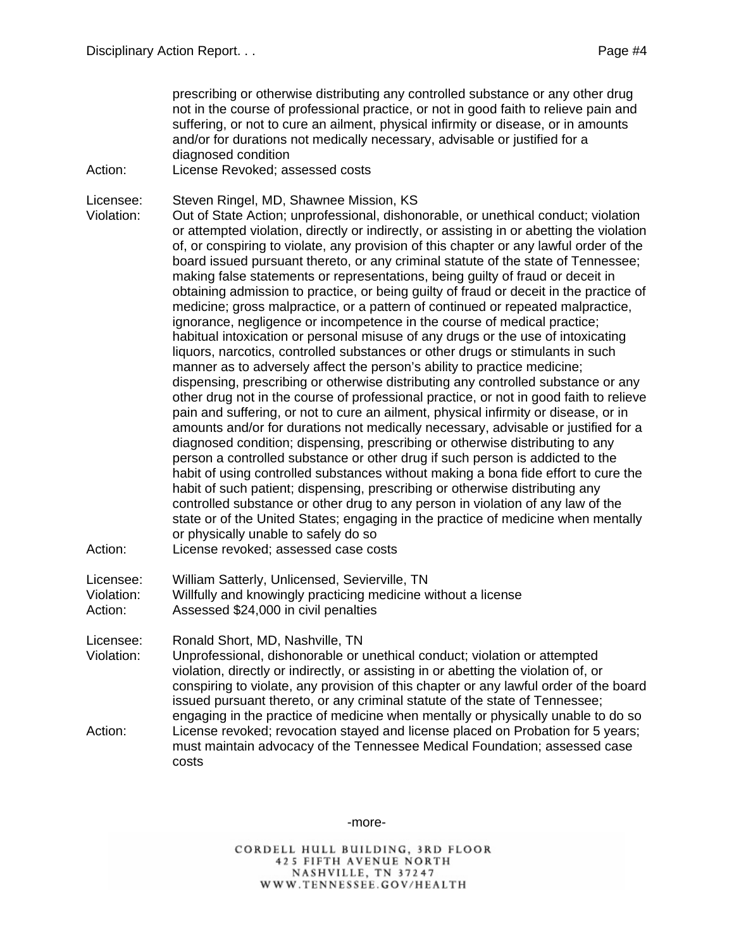prescribing or otherwise distributing any controlled substance or any other drug not in the course of professional practice, or not in good faith to relieve pain and suffering, or not to cure an ailment, physical infirmity or disease, or in amounts and/or for durations not medically necessary, advisable or justified for a diagnosed condition

Action: License Revoked; assessed costs

Licensee: Steven Ringel, MD, Shawnee Mission, KS

Violation: Out of State Action; unprofessional, dishonorable, or unethical conduct; violation or attempted violation, directly or indirectly, or assisting in or abetting the violation of, or conspiring to violate, any provision of this chapter or any lawful order of the board issued pursuant thereto, or any criminal statute of the state of Tennessee; making false statements or representations, being guilty of fraud or deceit in obtaining admission to practice, or being guilty of fraud or deceit in the practice of medicine; gross malpractice, or a pattern of continued or repeated malpractice, ignorance, negligence or incompetence in the course of medical practice; habitual intoxication or personal misuse of any drugs or the use of intoxicating liquors, narcotics, controlled substances or other drugs or stimulants in such manner as to adversely affect the person's ability to practice medicine; dispensing, prescribing or otherwise distributing any controlled substance or any other drug not in the course of professional practice, or not in good faith to relieve pain and suffering, or not to cure an ailment, physical infirmity or disease, or in amounts and/or for durations not medically necessary, advisable or justified for a diagnosed condition; dispensing, prescribing or otherwise distributing to any person a controlled substance or other drug if such person is addicted to the habit of using controlled substances without making a bona fide effort to cure the habit of such patient; dispensing, prescribing or otherwise distributing any controlled substance or other drug to any person in violation of any law of the state or of the United States; engaging in the practice of medicine when mentally or physically unable to safely do so Action: License revoked; assessed case costs

Licensee: William Satterly, Unlicensed, Sevierville, TN

Violation: Willfully and knowingly practicing medicine without a license

Action: Assessed \$24,000 in civil penalties

Licensee: Ronald Short, MD, Nashville, TN

Violation: Unprofessional, dishonorable or unethical conduct; violation or attempted violation, directly or indirectly, or assisting in or abetting the violation of, or conspiring to violate, any provision of this chapter or any lawful order of the board issued pursuant thereto, or any criminal statute of the state of Tennessee; engaging in the practice of medicine when mentally or physically unable to do so Action: License revoked; revocation stayed and license placed on Probation for 5 years; must maintain advocacy of the Tennessee Medical Foundation; assessed case costs

-more-

CORDELL HULL BUILDING, 3RD FLOOR 425 FIFTH AVENUE NORTH NASHVILLE, TN 37247 WWW.TENNESSEE.GOV/HEALTH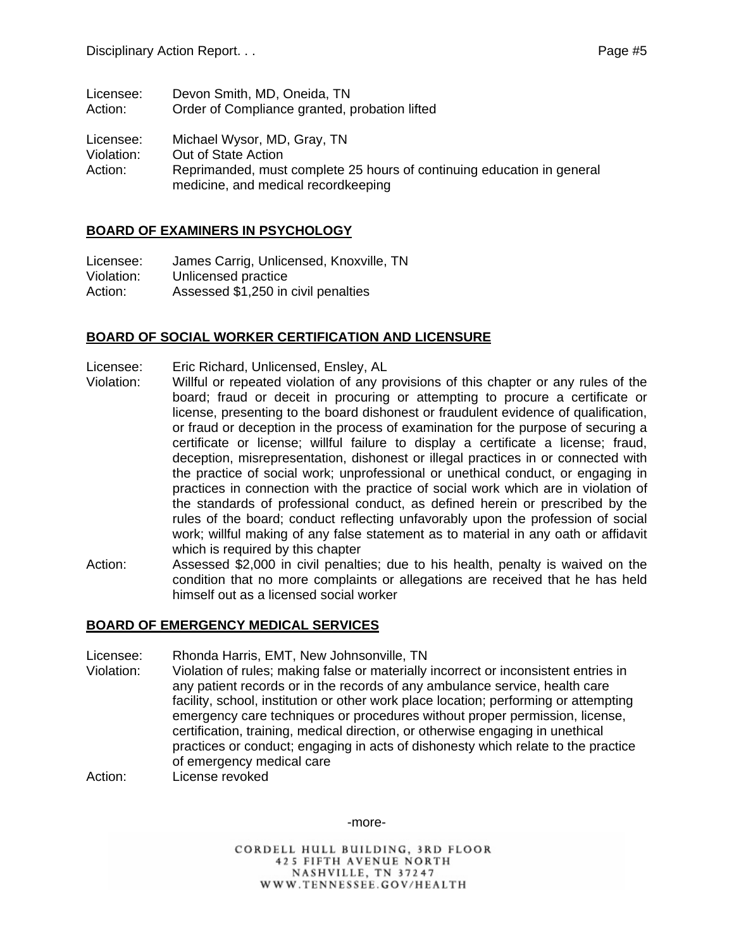| Licensee:                          | Devon Smith, MD, Oneida, TN                                                                                                                                         |
|------------------------------------|---------------------------------------------------------------------------------------------------------------------------------------------------------------------|
| Action:                            | Order of Compliance granted, probation lifted                                                                                                                       |
| Licensee:<br>Violation:<br>Action: | Michael Wysor, MD, Gray, TN<br>Out of State Action<br>Reprimanded, must complete 25 hours of continuing education in general<br>medicine, and medical recordkeeping |

### **BOARD OF EXAMINERS IN PSYCHOLOGY**

Licensee: James Carrig, Unlicensed, Knoxville, TN Violation: Unlicensed practice Action: Assessed \$1,250 in civil penalties

#### **BOARD OF SOCIAL WORKER CERTIFICATION AND LICENSURE**

- Licensee: Eric Richard, Unlicensed, Ensley, AL
- Violation: Willful or repeated violation of any provisions of this chapter or any rules of the board; fraud or deceit in procuring or attempting to procure a certificate or license, presenting to the board dishonest or fraudulent evidence of qualification, or fraud or deception in the process of examination for the purpose of securing a certificate or license; willful failure to display a certificate a license; fraud, deception, misrepresentation, dishonest or illegal practices in or connected with the practice of social work; unprofessional or unethical conduct, or engaging in practices in connection with the practice of social work which are in violation of the standards of professional conduct, as defined herein or prescribed by the rules of the board; conduct reflecting unfavorably upon the profession of social work; willful making of any false statement as to material in any oath or affidavit which is required by this chapter
- Action: Assessed \$2,000 in civil penalties; due to his health, penalty is waived on the condition that no more complaints or allegations are received that he has held himself out as a licensed social worker

#### **BOARD OF EMERGENCY MEDICAL SERVICES**

Licensee: Rhonda Harris, EMT, New Johnsonville, TN

- Violation: Violation of rules; making false or materially incorrect or inconsistent entries in any patient records or in the records of any ambulance service, health care facility, school, institution or other work place location; performing or attempting emergency care techniques or procedures without proper permission, license, certification, training, medical direction, or otherwise engaging in unethical practices or conduct; engaging in acts of dishonesty which relate to the practice of emergency medical care
- Action: License revoked

-more-

CORDELL HULL BUILDING, 3RD FLOOR 425 FIFTH AVENUE NORTH NASHVILLE, TN 37247 WWW.TENNESSEE.GOV/HEALTH